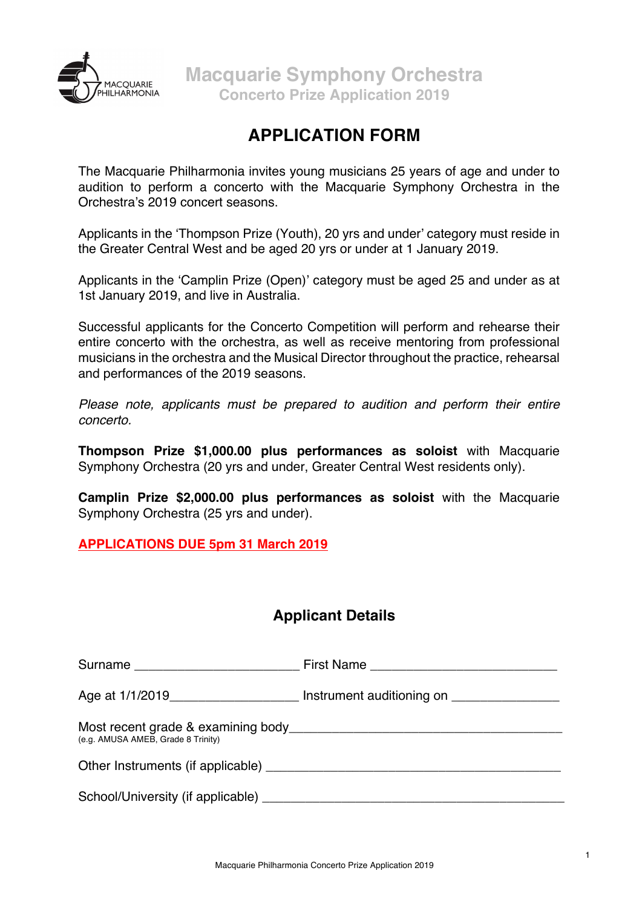

# **APPLICATION FORM**

The Macquarie Philharmonia invites young musicians 25 years of age and under to audition to perform a concerto with the Macquarie Symphony Orchestra in the Orchestra's 2019 concert seasons.

Applicants in the 'Thompson Prize (Youth), 20 yrs and under' category must reside in the Greater Central West and be aged 20 yrs or under at 1 January 2019.

Applicants in the 'Camplin Prize (Open)' category must be aged 25 and under as at 1st January 2019, and live in Australia.

Successful applicants for the Concerto Competition will perform and rehearse their entire concerto with the orchestra, as well as receive mentoring from professional musicians in the orchestra and the Musical Director throughout the practice, rehearsal and performances of the 2019 seasons.

*Please note, applicants must be prepared to audition and perform their entire concerto.*

**Thompson Prize \$1,000.00 plus performances as soloist** with Macquarie Symphony Orchestra (20 yrs and under, Greater Central West residents only).

**Camplin Prize \$2,000.00 plus performances as soloist** with the Macquarie Symphony Orchestra (25 yrs and under).

**APPLICATIONS DUE 5pm 31 March 2019**

## **Applicant Details**

| Surname ___________________________ |                                                                                   |
|-------------------------------------|-----------------------------------------------------------------------------------|
|                                     | Age at 1/1/2019_________________________ Instrument auditioning on ______________ |
| (e.g. AMUSA AMEB, Grade 8 Trinity)  |                                                                                   |
| Other Instruments (if applicable)   |                                                                                   |
|                                     |                                                                                   |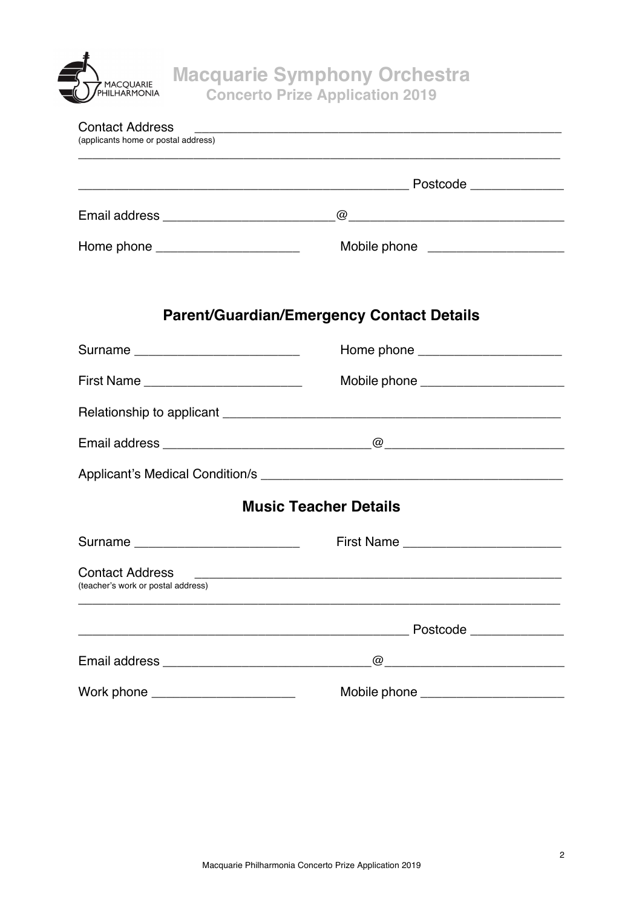

| <b>Contact Address</b><br>(applicants home or postal address) |                                                                                                                                                                                                                                                                                                                                                                                                                                                                                                               |  |
|---------------------------------------------------------------|---------------------------------------------------------------------------------------------------------------------------------------------------------------------------------------------------------------------------------------------------------------------------------------------------------------------------------------------------------------------------------------------------------------------------------------------------------------------------------------------------------------|--|
|                                                               |                                                                                                                                                                                                                                                                                                                                                                                                                                                                                                               |  |
|                                                               |                                                                                                                                                                                                                                                                                                                                                                                                                                                                                                               |  |
| Home phone ________________________                           |                                                                                                                                                                                                                                                                                                                                                                                                                                                                                                               |  |
|                                                               | <b>Parent/Guardian/Emergency Contact Details</b>                                                                                                                                                                                                                                                                                                                                                                                                                                                              |  |
| Surname ___________________________                           |                                                                                                                                                                                                                                                                                                                                                                                                                                                                                                               |  |
|                                                               |                                                                                                                                                                                                                                                                                                                                                                                                                                                                                                               |  |
|                                                               |                                                                                                                                                                                                                                                                                                                                                                                                                                                                                                               |  |
|                                                               |                                                                                                                                                                                                                                                                                                                                                                                                                                                                                                               |  |
|                                                               |                                                                                                                                                                                                                                                                                                                                                                                                                                                                                                               |  |
| <b>Music Teacher Details</b>                                  |                                                                                                                                                                                                                                                                                                                                                                                                                                                                                                               |  |
| Surname _____________________________                         |                                                                                                                                                                                                                                                                                                                                                                                                                                                                                                               |  |
| <b>Contact Address</b><br>(teacher's work or postal address)  | <u> 1989 - Jan Barnett, fransk politiker (d. 1989)</u>                                                                                                                                                                                                                                                                                                                                                                                                                                                        |  |
|                                                               |                                                                                                                                                                                                                                                                                                                                                                                                                                                                                                               |  |
|                                                               | $\overline{\omega}$ $\overline{\omega}$ $\overline{\omega}$ $\overline{\omega}$ $\overline{\omega}$ $\overline{\omega}$ $\overline{\omega}$ $\overline{\omega}$ $\overline{\omega}$ $\overline{\omega}$ $\overline{\omega}$ $\overline{\omega}$ $\overline{\omega}$ $\overline{\omega}$ $\overline{\omega}$ $\overline{\omega}$ $\overline{\omega}$ $\overline{\omega}$ $\overline{\omega}$ $\overline{\omega}$ $\overline{\omega}$ $\overline{\omega}$ $\overline{\omega}$ $\overline{\omega}$ $\overline{\$ |  |
| Work phone ________________________                           |                                                                                                                                                                                                                                                                                                                                                                                                                                                                                                               |  |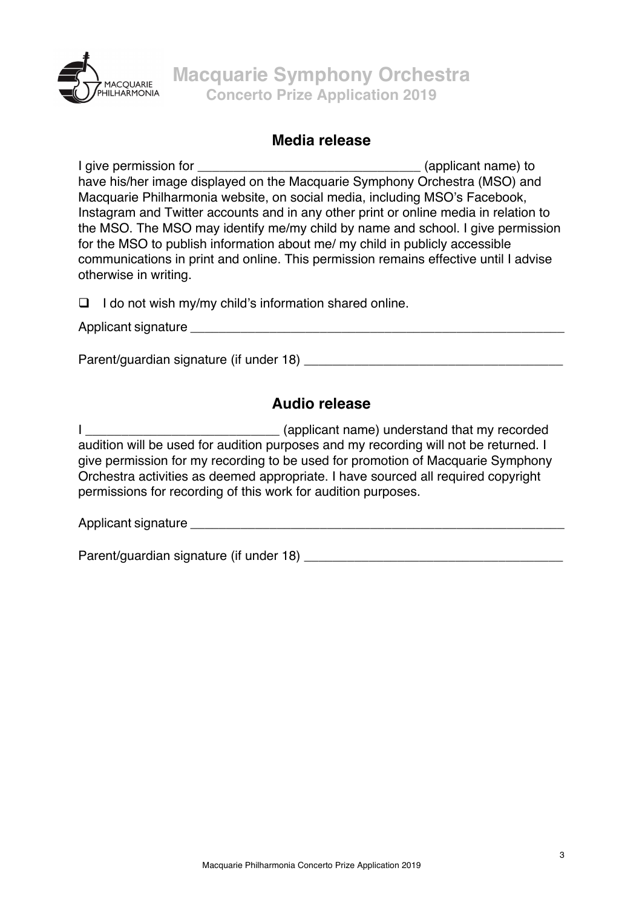

#### **Media release**

I give permission for \_\_\_\_\_\_\_\_\_\_\_\_\_\_\_\_\_\_\_\_\_\_\_\_\_\_\_\_\_\_\_ (applicant name) to have his/her image displayed on the Macquarie Symphony Orchestra (MSO) and Macquarie Philharmonia website, on social media, including MSO's Facebook, Instagram and Twitter accounts and in any other print or online media in relation to the MSO. The MSO may identify me/my child by name and school. I give permission for the MSO to publish information about me/ my child in publicly accessible communications in print and online. This permission remains effective until I advise otherwise in writing.

 $\Box$  I do not wish my/my child's information shared online.

Applicant signature \_\_\_\_\_\_\_\_\_\_\_\_\_\_\_\_\_\_\_\_\_\_\_\_\_\_\_\_\_\_\_\_\_\_\_\_\_\_\_\_\_\_\_\_\_\_\_\_\_\_\_\_

Parent/quardian signature (if under 18) **Example 20** Exercise 20 and 20 Exercise 20 and 20 and 20 and 20 and 20 and 20 and 20 and 20 and 20 and 20 and 20 and 20 and 20 and 20 and 20 and 20 and 20 and 20 and 20 and 20 and 2

## **Audio release**

I \_\_\_\_\_\_\_\_\_\_\_\_\_\_\_\_\_\_\_\_\_\_\_\_\_\_\_ (applicant name) understand that my recorded audition will be used for audition purposes and my recording will not be returned. I give permission for my recording to be used for promotion of Macquarie Symphony Orchestra activities as deemed appropriate. I have sourced all required copyright permissions for recording of this work for audition purposes.

Applicant signature  $\blacksquare$ 

Parent/guardian signature (if under 18) \_\_\_\_\_\_\_\_\_\_\_\_\_\_\_\_\_\_\_\_\_\_\_\_\_\_\_\_\_\_\_\_\_\_\_\_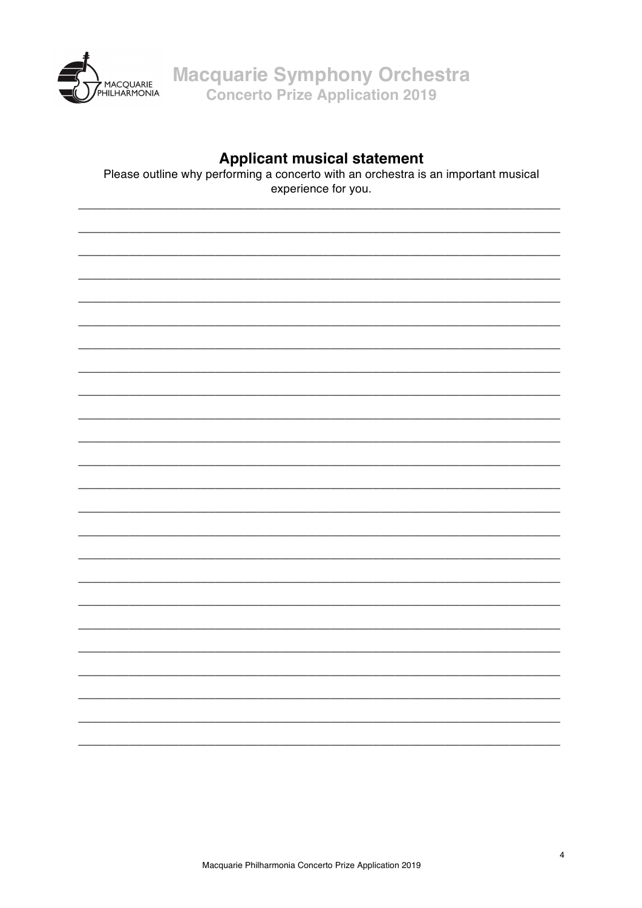

**Macquarie Symphony Orchestra Concerto Prize Application 2019** 

### **Applicant musical statement**

Please outline why performing a concerto with an orchestra is an important musical experience for you.



 $\overline{4}$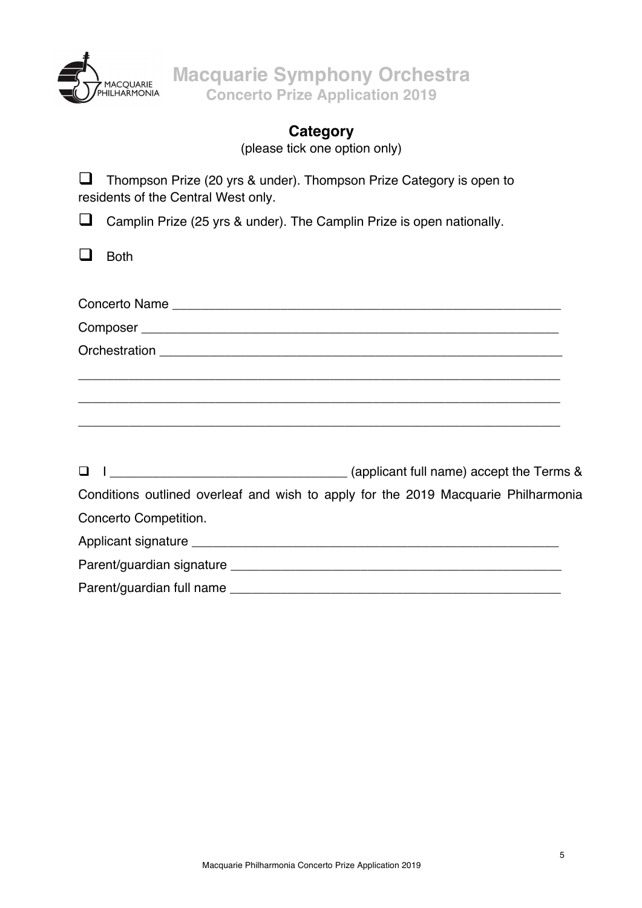

**Macquarie Symphony Orchestra Concerto Prize Application 2019**

# **Category**

(please tick one option only)

 $\Box$  Thompson Prize (20 yrs & under). Thompson Prize Category is open to residents of the Central West only.

**Q** Camplin Prize (25 yrs & under). The Camplin Prize is open nationally.

 $\Box$  Both

|                       | Conditions outlined overleaf and wish to apply for the 2019 Macquarie Philharmonia |
|-----------------------|------------------------------------------------------------------------------------|
| Concerto Competition. |                                                                                    |
|                       |                                                                                    |
|                       |                                                                                    |
|                       |                                                                                    |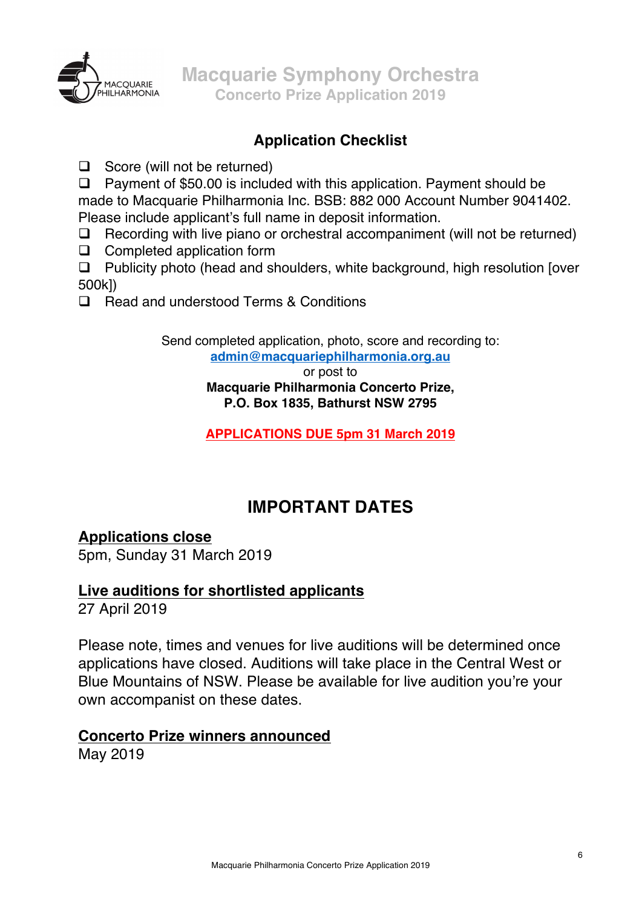

## **Application Checklist**

 $\Box$  Score (will not be returned)

 $\Box$  Payment of \$50.00 is included with this application. Payment should be made to Macquarie Philharmonia Inc. BSB: 882 000 Account Number 9041402. Please include applicant's full name in deposit information.

- $\Box$  Recording with live piano or orchestral accompaniment (will not be returned)
- $\Box$  Completed application form

 $\Box$  Publicity photo (head and shoulders, white background, high resolution [over 500k])

 $\Box$  Read and understood Terms & Conditions

Send completed application, photo, score and recording to: **admin@macquariephilharmonia.org.au**

> or post to **Macquarie Philharmonia Concerto Prize, P.O. Box 1835, Bathurst NSW 2795**

> **APPLICATIONS DUE 5pm 31 March 2019**

## **IMPORTANT DATES**

## **Applications close**

5pm, Sunday 31 March 2019

## **Live auditions for shortlisted applicants**

27 April 2019

Please note, times and venues for live auditions will be determined once applications have closed. Auditions will take place in the Central West or Blue Mountains of NSW. Please be available for live audition you're your own accompanist on these dates.

## **Concerto Prize winners announced**

May 2019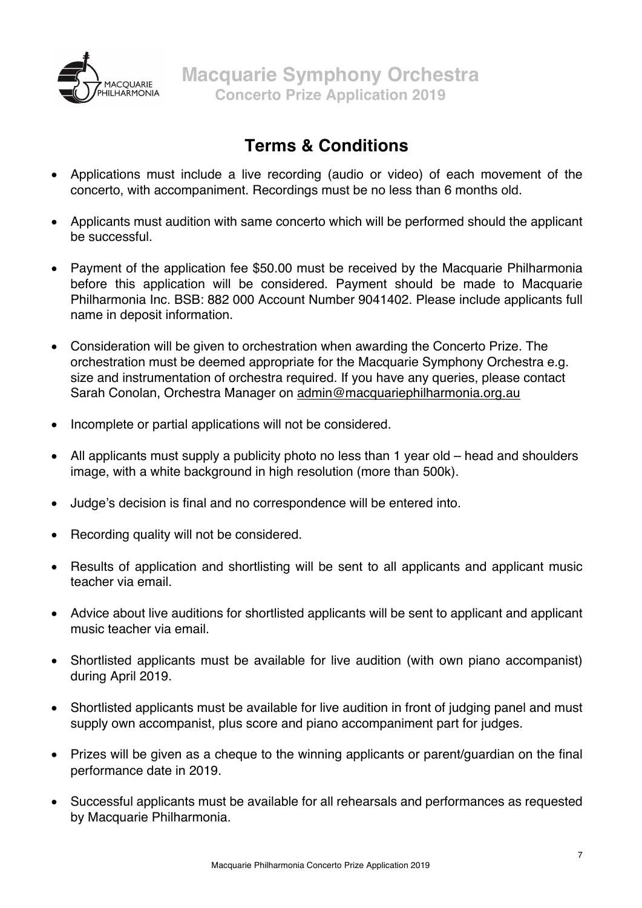

## **Terms & Conditions**

- Applications must include a live recording (audio or video) of each movement of the concerto, with accompaniment. Recordings must be no less than 6 months old.
- Applicants must audition with same concerto which will be performed should the applicant be successful.
- Payment of the application fee \$50.00 must be received by the Macquarie Philharmonia before this application will be considered. Payment should be made to Macquarie Philharmonia Inc. BSB: 882 000 Account Number 9041402. Please include applicants full name in deposit information.
- Consideration will be given to orchestration when awarding the Concerto Prize. The orchestration must be deemed appropriate for the Macquarie Symphony Orchestra e.g. size and instrumentation of orchestra required. If you have any queries, please contact Sarah Conolan, Orchestra Manager on admin@macquariephilharmonia.org.au
- Incomplete or partial applications will not be considered.
- All applicants must supply a publicity photo no less than 1 year old head and shoulders image, with a white background in high resolution (more than 500k).
- Judge's decision is final and no correspondence will be entered into.
- Recording quality will not be considered.
- Results of application and shortlisting will be sent to all applicants and applicant music teacher via email.
- Advice about live auditions for shortlisted applicants will be sent to applicant and applicant music teacher via email.
- Shortlisted applicants must be available for live audition (with own piano accompanist) during April 2019.
- Shortlisted applicants must be available for live audition in front of judging panel and must supply own accompanist, plus score and piano accompaniment part for judges.
- Prizes will be given as a cheque to the winning applicants or parent/guardian on the final performance date in 2019.
- Successful applicants must be available for all rehearsals and performances as requested by Macquarie Philharmonia.